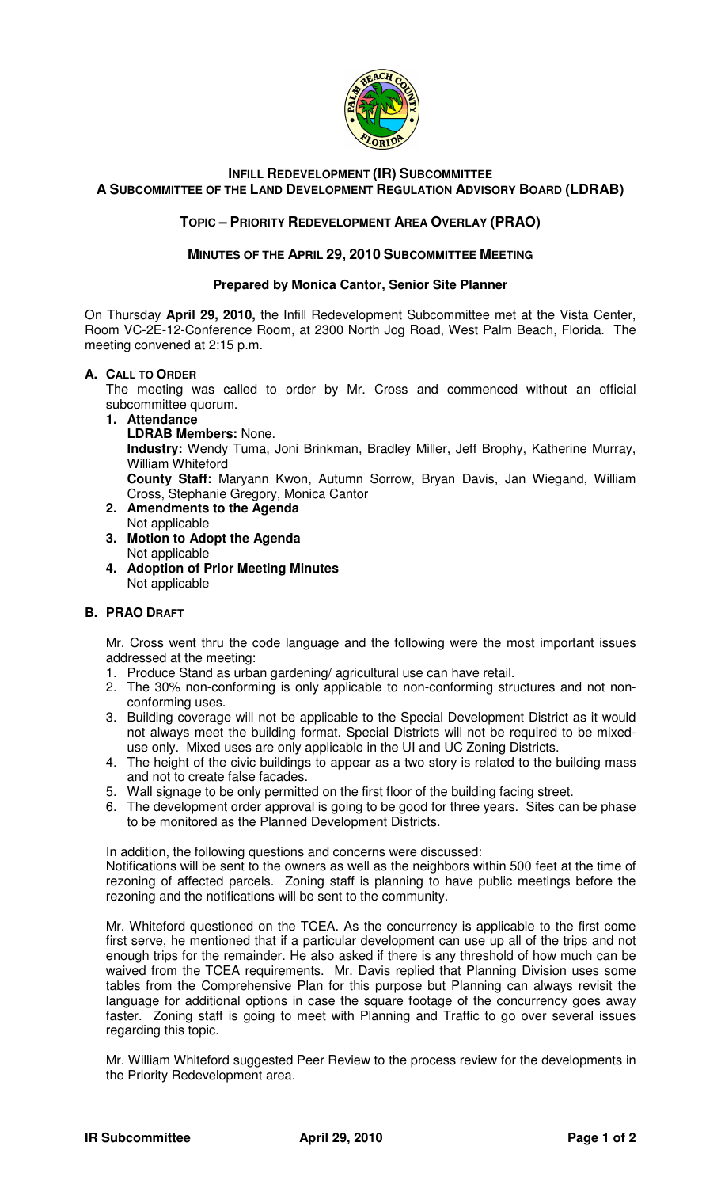

# **INFILL REDEVELOPMENT (IR) SUBCOMMITTEE A SUBCOMMITTEE OF THE LAND DEVELOPMENT REGULATION ADVISORY BOARD (LDRAB)**

## **TOPIC – PRIORITY REDEVELOPMENT AREA OVERLAY (PRAO)**

### **MINUTES OF THE APRIL 29, 2010 SUBCOMMITTEE MEETING**

#### **Prepared by Monica Cantor, Senior Site Planner**

On Thursday **April 29, 2010,** the Infill Redevelopment Subcommittee met at the Vista Center, Room VC-2E-12-Conference Room, at 2300 North Jog Road, West Palm Beach, Florida. The meeting convened at 2:15 p.m.

### **A. CALL TO ORDER**

The meeting was called to order by Mr. Cross and commenced without an official subcommittee quorum.

**1. Attendance** 

**LDRAB Members:** None.

**Industry:** Wendy Tuma, Joni Brinkman, Bradley Miller, Jeff Brophy, Katherine Murray, William Whiteford

**County Staff:** Maryann Kwon, Autumn Sorrow, Bryan Davis, Jan Wiegand, William Cross, Stephanie Gregory, Monica Cantor

- **2. Amendments to the Agenda**  Not applicable
- **3. Motion to Adopt the Agenda**  Not applicable
- **4. Adoption of Prior Meeting Minutes**  Not applicable

## **B. PRAO DRAFT**

Mr. Cross went thru the code language and the following were the most important issues addressed at the meeting:

- 1. Produce Stand as urban gardening/ agricultural use can have retail.
- 2. The 30% non-conforming is only applicable to non-conforming structures and not nonconforming uses.
- 3. Building coverage will not be applicable to the Special Development District as it would not always meet the building format. Special Districts will not be required to be mixeduse only. Mixed uses are only applicable in the UI and UC Zoning Districts.
- 4. The height of the civic buildings to appear as a two story is related to the building mass and not to create false facades.
- 5. Wall signage to be only permitted on the first floor of the building facing street.
- 6. The development order approval is going to be good for three years. Sites can be phase to be monitored as the Planned Development Districts.

In addition, the following questions and concerns were discussed:

Notifications will be sent to the owners as well as the neighbors within 500 feet at the time of rezoning of affected parcels. Zoning staff is planning to have public meetings before the rezoning and the notifications will be sent to the community.

Mr. Whiteford questioned on the TCEA. As the concurrency is applicable to the first come first serve, he mentioned that if a particular development can use up all of the trips and not enough trips for the remainder. He also asked if there is any threshold of how much can be waived from the TCEA requirements. Mr. Davis replied that Planning Division uses some tables from the Comprehensive Plan for this purpose but Planning can always revisit the language for additional options in case the square footage of the concurrency goes away faster. Zoning staff is going to meet with Planning and Traffic to go over several issues regarding this topic.

Mr. William Whiteford suggested Peer Review to the process review for the developments in the Priority Redevelopment area.